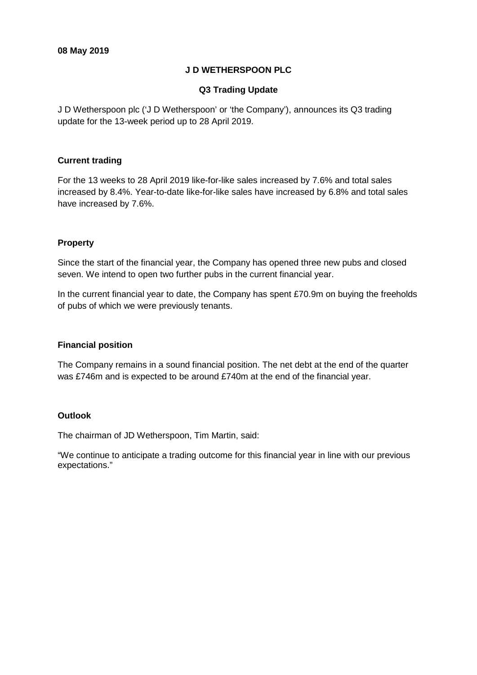## **J D WETHERSPOON PLC**

## **Q3 Trading Update**

J D Wetherspoon plc ('J D Wetherspoon' or 'the Company'), announces its Q3 trading update for the 13-week period up to 28 April 2019.

## **Current trading**

For the 13 weeks to 28 April 2019 like-for-like sales increased by 7.6% and total sales increased by 8.4%. Year-to-date like-for-like sales have increased by 6.8% and total sales have increased by 7.6%.

# **Property**

Since the start of the financial year, the Company has opened three new pubs and closed seven. We intend to open two further pubs in the current financial year.

In the current financial year to date, the Company has spent £70.9m on buying the freeholds of pubs of which we were previously tenants.

## **Financial position**

The Company remains in a sound financial position. The net debt at the end of the quarter was £746m and is expected to be around £740m at the end of the financial year.

## **Outlook**

The chairman of JD Wetherspoon, Tim Martin, said:

"We continue to anticipate a trading outcome for this financial year in line with our previous expectations."